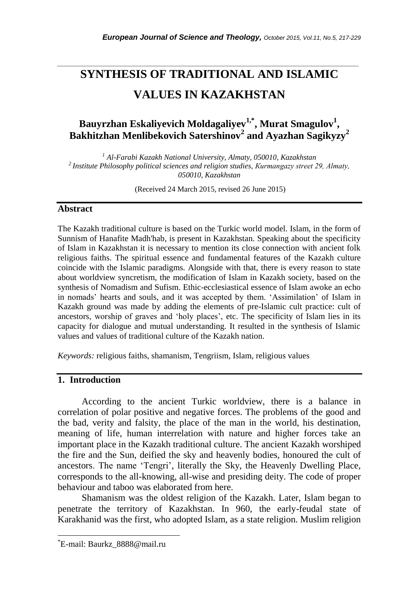# **SYNTHESIS OF TRADITIONAL AND ISLAMIC VALUES IN KAZAKHSTAN**

*\_\_\_\_\_\_\_\_\_\_\_\_\_\_\_\_\_\_\_\_\_\_\_\_\_\_\_\_\_\_\_\_\_\_\_\_\_\_\_\_\_\_\_\_\_\_\_\_\_\_\_\_\_\_\_\_\_\_\_\_\_\_\_\_\_\_\_\_\_\_\_*

## **Bauyrzhan Eskaliyevich Moldagaliyev1,\* , Murat Smagulov<sup>1</sup> , Bakhitzhan Menlibekovich Satershinov<sup>2</sup> and Ayazhan Sagikyzy<sup>2</sup>**

*<sup>1</sup> Al-Farabi Kazakh National University, Almaty, 050010, Kazakhstan <sup>2</sup>Institute Philosophy political sciences and religion studies, Кurmangazy street 29, Almaty, 050010, Kazakhstan*

(Received 24 March 2015, revised 26 June 2015)

### **Abstract**

The Kazakh traditional culture is based on the Turkic world model. Islam, in the form of Sunnism of Hanafite [Madh'hab,](http://www.multitran.ru/c/m.exe?t=4950113_1_2&s1=%EC%E0%E7%F5%E0%E1) is present in Kazakhstan. Speaking about the specificity of Islam in Kazakhstan it is necessary to mention its close connection with ancient folk religious faiths. The spiritual essence and fundamental features of the Kazakh culture coincide with the Islamic paradigms. Alongside with that, there is every reason to state about worldview syncretism, the modification of Islam in Kazakh society, based on the synthesis of Nomadism and Sufism. Ethic-ecclesiastical essence of Islam awoke an echo in nomads" hearts and souls, and it was accepted by them. "Assimilation" of Islam in Kazakh ground was made by adding the elements of pre-Islamic cult practice: cult of ancestors, worship of graves and "holy places", etc. The specificity of Islam lies in its capacity for dialogue and mutual understanding. It resulted in the synthesis of Islamic values and values of traditional culture of the Kazakh nation.

*Keywords:* religious faiths, shamanism, Tengriism, Islam, religious values

## **1. Introduction**

According to the ancient Turkic worldview, there is a balance in correlation of polar positive and negative forces. The problems of the good and the bad, verity and falsity, the place of the man in the world, his destination, meaning of life, human interrelation with nature and higher forces take an important place in the Kazakh traditional culture. The ancient Kazakh worshiped the fire and the Sun, deified the sky and heavenly bodies, honoured the cult of ancestors. The name 'Tengri', literally the Sky, the Heavenly Dwelling Place, corresponds to the all-knowing, all-wise and presiding deity. The code of proper behaviour and taboo was elaborated from here.

Shamanism was the oldest religion of the Kazakh. Later, Islam began to penetrate the territory of Kazakhstan. In 960, the early-feudal state of Karakhanid was the first, who adopted Islam, as a state religion. Muslim religion

l

<sup>\*</sup>E-mail: Baurkz\_8888@mail.ru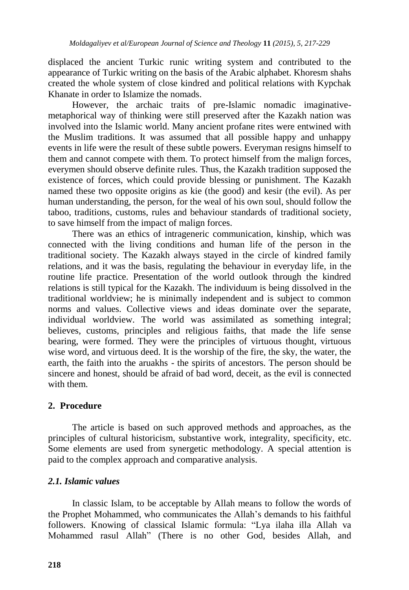displaced the ancient Turkic runic writing system and contributed to the appearance of Turkic writing on the basis of the Arabic alphabet. Khoresm shahs created the whole system of close kindred and political relations with Kypchak Khanate in order to Islamize the nomads.

However, the archaic traits of pre-Islamic nomadic imaginativemetaphorical way of thinking were still preserved after the Kazakh nation was involved into the Islamic world. Many ancient profane rites were entwined with the Muslim traditions. It was assumed that all possible happy and unhappy events in life were the result of these subtle powers. Everyman resigns himself to them and cannot compete with them. To protect himself from the malign forces, everymen should observe definite rules. Thus, the Kazakh tradition supposed the existence of forces, which could provide blessing or punishment. The Kazakh named these two opposite origins as kie (the good) and kesir (the evil). As per human understanding, the person, for the weal of his own soul, should follow the taboo, traditions, customs, rules and behaviour standards of traditional society, to save himself from the impact of malign forces.

There was an ethics of intrageneric communication, kinship, which was connected with the living conditions and human life of the person in the traditional society. The Kazakh always stayed in the circle of kindred family relations, and it was the basis, regulating the behaviour in everyday life, in the routine life practice. Presentation of the world outlook through the kindred relations is still typical for the Kazakh. The individuum is being dissolved in the traditional worldview; he is minimally independent and is subject to common norms and values. Collective views and ideas dominate over the separate, individual worldview. The world was assimilated as something integral; believes, customs, principles and religious faiths, that made the life sense bearing, were formed. They were the principles of virtuous thought, virtuous wise word, and virtuous deed. It is the worship of the fire, the sky, the water, the earth, the faith into the aruakhs - the spirits of ancestors. The person should be sincere and honest, should be afraid of bad word, deceit, as the evil is connected with them.

## **2. Procedure**

The article is based on such approved methods and approaches, as the principles of cultural historicism, substantive work, integrality, specificity, etc. Some elements are used from synergetic methodology. A special attention is paid to the complex approach and comparative analysis.

## *2.1. Islamic values*

In classic Islam, to be acceptable by Allah means to follow the words of the Prophet Mohammed, who communicates the Allah"s demands to his faithful followers. Knowing of classical Islamic formula: "Lya ilaha illa Allah va Mohammed rasul Allah" (There is no other God, besides Allah, and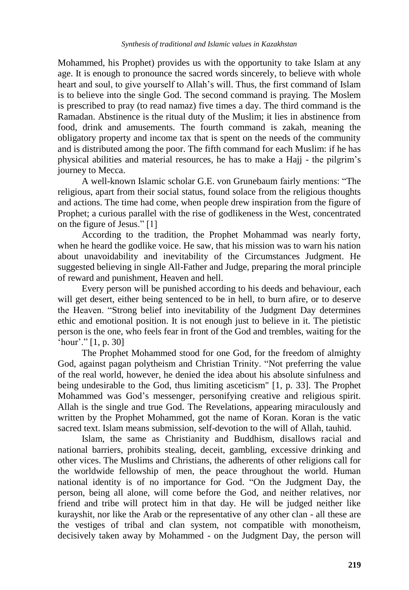Mohammed, his Prophet) provides us with the opportunity to take Islam at any age. It is enough to pronounce the sacred words sincerely, to believe with whole heart and soul, to give yourself to Allah"s will. Thus, the first command of Islam is to believe into the single God. The second command is praying. The Moslem is prescribed to pray (to read namaz) five times a day. The third command is the Ramadan. Abstinence is the ritual duty of the Muslim; it lies in abstinence from food, drink and amusements. The fourth command is zakah, meaning the obligatory property and income tax that is spent on the needs of the community and is distributed among the poor. The fifth command for each Muslim: if he has physical abilities and material resources, he has to make a Hajj - the pilgrim"s journey to Mecca.

A well-known Islamic scholar G.E. von Grunebaum fairly mentions: "The religious, apart from their social status, found solace from the religious thoughts and actions. The time had come, when people drew inspiration from the figure of Prophet; a curious parallel with the rise of godlikeness in the West, concentrated on the figure of Jesus." [1]

According to the tradition, the Prophet Mohammad was nearly forty, when he heard the godlike voice. He saw, that his mission was to warn his nation about unavoidability and inevitability of the Circumstances Judgment. He suggested believing in single All-Father and Judge, preparing the moral principle of reward and punishment, Heaven and hell.

Every person will be punished according to his deeds and behaviour, each will get desert, either being sentenced to be in hell, to burn afire, or to deserve the Heaven. "Strong belief into inevitability of the Judgment Day determines ethic and emotional position. It is not enough just to believe in it. The pietistic person is the one, who feels fear in front of the God and trembles, waiting for the 'hour'."  $[1, p. 30]$ 

The Prophet Mohammed stood for one God, for the freedom of almighty God, against pagan polytheism and Christian Trinity. "Not preferring the value of the real world, however, he denied the idea about his absolute sinfulness and being undesirable to the God, thus limiting asceticism" [1, p. 33]. The Prophet Mohammed was God"s messenger, personifying creative and religious spirit. Allah is the single and true God. The Revelations, appearing miraculously and written by the Prophet Mohammed, got the name of Koran. Koran is the vatic sacred text. Islam means submission, self-devotion to the will of Allah, tauhid.

Islam, the same as Christianity and Buddhism, disallows racial and national barriers, prohibits stealing, deceit, gambling, excessive drinking and other vices. The Muslims and Christians, the adherents of other religions call for the worldwide fellowship of men, the peace throughout the world. Human national identity is of no importance for God. "On the Judgment Day, the person, being all alone, will come before the God, and neither relatives, nor friend and tribe will protect him in that day. He will be judged neither like kurayshit, nor like the Arab or the representative of any other clan - all these are the vestiges of tribal and clan system, not compatible with monotheism, decisively taken away by Mohammed - on the Judgment Day, the person will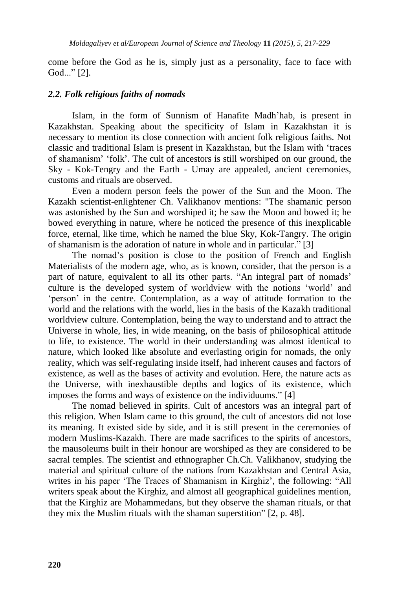come before the God as he is, simply just as a personality, face to face with God..." [2].

#### *2.2. Folk religious faiths of nomads*

Islam, in the form of Sunnism of Hanafite [Madh"hab,](http://www.multitran.ru/c/m.exe?t=4950113_1_2&s1=%EC%E0%E7%F5%E0%E1) is present in Kazakhstan. Speaking about the specificity of Islam in Kazakhstan it is necessary to mention its close connection with ancient folk religious faiths. Not classic and traditional Islam is present in Kazakhstan, but the Islam with "traces of shamanism" "folk". The cult of ancestors is still worshiped on our ground, the Sky - Kok-Tengry and the Earth - Umay are appealed, ancient ceremonies, customs and rituals are observed.

Even a modern person feels the power of the Sun and the Moon. The Kazakh scientist-enlightener Ch. Valikhanov mentions: "The shamanic person was astonished by the Sun and worshiped it; he saw the Moon and bowed it; he bowed everything in nature, where he noticed the presence of this inexplicable force, eternal, like time, which he named the blue Sky, Kok-Tangry. The origin of shamanism is the adoration of nature in whole and in particular." [3]

The nomad"s position is close to the position of French and English Materialists of the modern age, who, as is known, consider, that the person is a part of nature, equivalent to all its other parts. "An integral part of nomads" culture is the developed system of worldview with the notions "world" and "person" in the centre. Contemplation, as a way of attitude formation to the world and the relations with the world, lies in the basis of the Kazakh traditional worldview culture. Contemplation, being the way to understand and to attract the Universe in whole, lies, in wide meaning, on the basis of philosophical attitude to life, to existence. The world in their understanding was almost identical to nature, which looked like absolute and everlasting origin for nomads, the only reality, which was self-regulating inside itself, had inherent causes and factors of existence, as well as the bases of activity and evolution. Here, the nature acts as the Universe, with inexhaustible depths and logics of its existence, which imposes the forms and ways of existence on the individuums." [4]

The nomad believed in spirits. Cult of ancestors was an integral part of this religion. When Islam came to this ground, the cult of ancestors did not lose its meaning. It existed side by side, and it is still present in the ceremonies of modern Muslims-Kazakh. There are made sacrifices to the spirits of ancestors, the mausoleums built in their honour are worshiped as they are considered to be sacral temples. The scientist and ethnographer Ch.Ch. Valikhanov, studying the material and spiritual culture of the nations from Kazakhstan and Central Asia, writes in his paper 'The Traces of Shamanism in Kirghiz', the following: "All writers speak about the Kirghiz, and almost all geographical guidelines mention, that the Kirghiz are Mohammedans, but they observe the shaman rituals, or that they mix the Muslim rituals with the shaman superstition" [2, p. 48].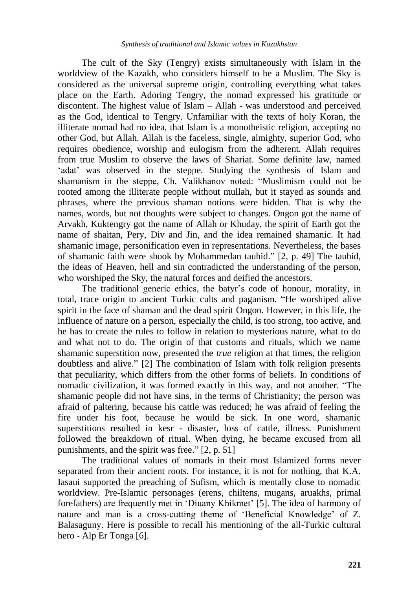The cult of the Sky (Tengry) exists simultaneously with Islam in the worldview of the Kazakh, who considers himself to be a Muslim. The Sky is considered as the universal supreme origin, controlling everything what takes place on the Earth. Adoring Tengry, the nomad expressed his gratitude or discontent. The highest value of Islam – Allah - was understood and perceived as the God, identical to Tengry. Unfamiliar with the texts of holy Koran, the illiterate nomad had no idea, that Islam is a monotheistic religion, accepting no other God, but Allah. Allah is the faceless, single, almighty, superior God, who requires obedience, worship and eulogism from the adherent. Allah requires from true Muslim to observe the laws of Shariat. Some definite law, named "adat" was observed in the steppe. Studying the synthesis of Islam and shamanism in the steppe, Ch. Valikhanov noted: "Muslimism could not be rooted among the illiterate people without mullah, but it stayed as sounds and phrases, where the previous shaman notions were hidden. That is why the names, words, but not thoughts were subject to changes. Ongon got the name of Arvakh, Kuktengry got the name of Allah or Khuday, the spirit of Earth got the name of shaitan, Pery, Div and Jin, and the idea remained shamanic. It had shamanic image, personification even in representations. Nevertheless, the bases of shamanic faith were shook by Mohammedan tauhid." [2, p. 49] The tauhid, the ideas of Heaven, hell and sin contradicted the understanding of the person, who worshiped the Sky, the natural forces and deified the ancestors.

The traditional generic ethics, the batyr"s code of honour, morality, in total, trace origin to ancient Turkic cults and paganism. "He worshiped alive spirit in the face of shaman and the dead spirit Ongon. However, in this life, the influence of nature on a person, especially the child, is too strong, too active, and he has to create the rules to follow in relation to mysterious nature, what to do and what not to do. The origin of that customs and rituals, which we name shamanic superstition now, presented the *true* religion at that times, the religion doubtless and alive." [2] The combination of Islam with folk religion presents that peculiarity, which differs from the other forms of beliefs. In conditions of nomadic civilization, it was formed exactly in this way, and not another. "The shamanic people did not have sins, in the terms of Christianity; the person was afraid of paltering, because his cattle was reduced; he was afraid of feeling the fire under his foot, because he would be sick. In one word, shamanic superstitions resulted in kesr - disaster, loss of cattle, illness. Punishment followed the breakdown of ritual. When dying, he became excused from all punishments, and the spirit was free." [2, p. 51]

The traditional values of nomads in their most Islamized forms never separated from their ancient roots. For instance, it is not for nothing, that K.A. Iasaui supported the preaching of Sufism, which is mentally close to nomadic worldview. Pre-Islamic personages (erens, chiltens, mugans, aruakhs, primal forefathers) are frequently met in 'Diuany Khikmet' [5]. The idea of harmony of nature and man is a cross-cutting theme of "Beneficial Knowledge" of Z. Balasaguny. Here is possible to recall his mentioning of the all-Turkic cultural hero - Alp Er Tonga [6].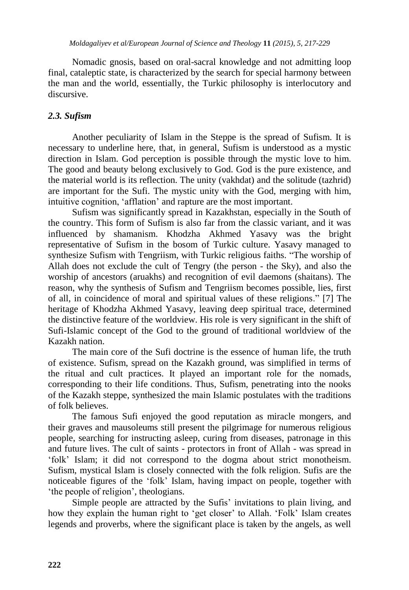Nomadic gnosis, based on oral-sacral knowledge and not admitting loop final, cataleptic state, is characterized by the search for special harmony between the man and the world, essentially, the Turkic philosophy is interlocutory and discursive.

## *2.3. Sufism*

Another peculiarity of Islam in the Steppe is the spread of Sufism. It is necessary to underline here, that, in general, Sufism is understood as a mystic direction in Islam. God perception is possible through the mystic love to him. The good and beauty belong exclusively to God. God is the pure existence, and the material world is its reflection. The unity (vakhdat) and the solitude (tazhrid) are important for the Sufi. The mystic unity with the God, merging with him, intuitive cognition, "afflation" and rapture are the most important.

Sufism was significantly spread in Kazakhstan, especially in the South of the country. This form of Sufism is also far from the classic variant, and it was influenced by shamanism. Khodzha Akhmed Yasavy was the bright representative of Sufism in the bosom of Turkic culture. Yasavy managed to synthesize Sufism with Tengriism, with Turkic religious faiths. "The worship of Allah does not exclude the cult of Tengry (the person - the Sky), and also the worship of ancestors (aruakhs) and recognition of evil daemons (shaitans). The reason, why the synthesis of Sufism and Tengriism becomes possible, lies, first of all, in coincidence of moral and spiritual values of these religions." [7] The heritage of Khodzha Akhmed Yasavy, leaving deep spiritual trace, determined the distinctive feature of the worldview. His role is very significant in the shift of Sufi-Islamic concept of the God to the ground of traditional worldview of the Kazakh nation.

The main core of the Sufi doctrine is the essence of human life, the truth of existence. Sufism, spread on the Kazakh ground, was simplified in terms of the ritual and cult practices. It played an important role for the nomads, corresponding to their life conditions. Thus, Sufism, penetrating into the nooks of the Kazakh steppe, synthesized the main Islamic postulates with the traditions of folk believes.

The famous Sufi enjoyed the good reputation as miracle mongers, and their graves and mausoleums still present the pilgrimage for numerous religious people, searching for instructing asleep, curing from diseases, patronage in this and future lives. The cult of saints - protectors in front of Allah - was spread in "folk" Islam; it did not correspond to the dogma about strict monotheism. Sufism, mystical Islam is closely connected with the folk religion. Sufis are the noticeable figures of the "folk" Islam, having impact on people, together with "the people of religion", theologians.

Simple people are attracted by the Sufis' invitations to plain living, and how they explain the human right to "get closer" to Allah. "Folk" Islam creates legends and proverbs, where the significant place is taken by the angels, as well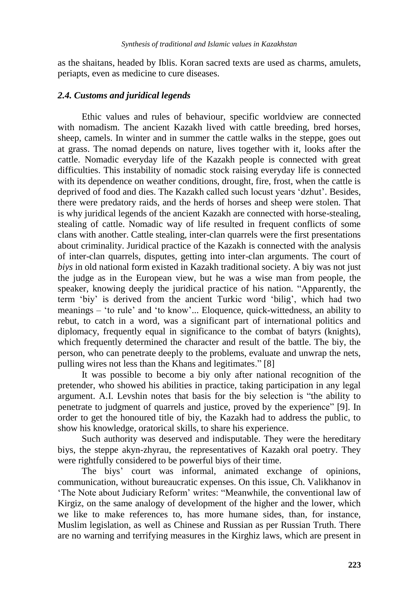as the shaitans, headed by Iblis. Koran sacred texts are used as charms, amulets, periapts, even as medicine to cure diseases.

#### *2.4. Customs and juridical legends*

Ethic values and rules of behaviour, specific worldview are connected with nomadism. The ancient Kazakh lived with cattle breeding, bred horses, sheep, camels. In winter and in summer the cattle walks in the steppe, goes out at grass. The nomad depends on nature, lives together with it, looks after the cattle. Nomadic everyday life of the Kazakh people is connected with great difficulties. This instability of nomadic stock raising everyday life is connected with its dependence on weather conditions, drought, fire, frost, when the cattle is deprived of food and dies. The Kazakh called such locust years "dzhut". Besides, there were predatory raids, and the herds of horses and sheep were stolen. That is why juridical legends of the ancient Kazakh are connected with horse-stealing, stealing of cattle. Nomadic way of life resulted in frequent conflicts of some clans with another. Cattle stealing, inter-clan quarrels were the first presentations about criminality. Juridical practice of the Kazakh is connected with the analysis of inter-clan quarrels, disputes, getting into inter-clan arguments. The court of *biys* in old national form existed in Kazakh traditional society. A biy was not just the judge as in the European view, but he was a wise man from people, the speaker, knowing deeply the juridical practice of his nation. "Apparently, the term "biy" is derived from the ancient Turkic word "bilig", which had two meanings – "to rule" and "to know"... Eloquence, quick-wittedness, an ability to rebut, to catch in a word, was a significant part of international politics and diplomacy, frequently equal in significance to the combat of batyrs (knights), which frequently determined the character and result of the battle. The biy, the person, who can penetrate deeply to the problems, evaluate and unwrap the nets, pulling wires not less than the Khans and legitimates." [8]

It was possible to become a biy only after national recognition of the pretender, who showed his abilities in practice, taking participation in any legal argument. A.I. Levshin notes that basis for the biy selection is "the ability to penetrate to judgment of quarrels and justice, proved by the experience" [9]. In order to get the honoured title of biy, the Kazakh had to address the public, to show his knowledge, oratorical skills, to share his experience.

Such authority was deserved and indisputable. They were the hereditary biys, the steppe akyn-zhyrau, the representatives of Kazakh oral poetry. They were rightfully considered to be powerful biys of their time.

The biys' court was informal, animated exchange of opinions, communication, without bureaucratic expenses. On this issue, Ch. Valikhanov in "The Note about Judiciary Reform" writes: "Meanwhile, the conventional law of Kirgiz, on the same analogy of development of the higher and the lower, which we like to make references to, has more humane sides, than, for instance, Muslim legislation, as well as Chinese and Russian as per Russian Truth. There are no warning and terrifying measures in the Kirghiz laws, which are present in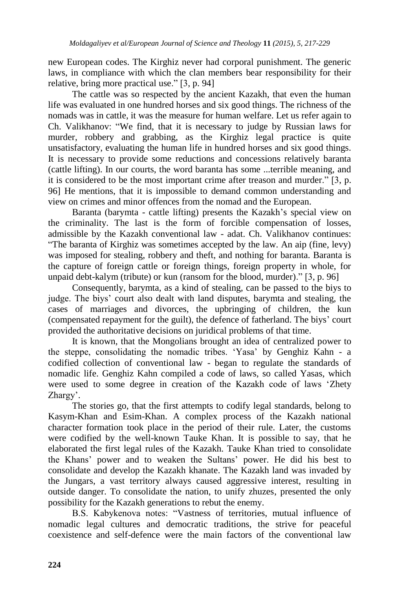new European codes. The Kirghiz never had corporal punishment. The generic laws, in compliance with which the clan members bear responsibility for their relative, bring more practical use." [3, p. 94]

The cattle was so respected by the ancient Kazakh, that even the human life was evaluated in one hundred horses and six good things. The richness of the nomads was in cattle, it was the measure for human welfare. Let us refer again to Ch. Valikhanov: "We find, that it is necessary to judge by Russian laws for murder, robbery and grabbing, as the Kirghiz legal practice is quite unsatisfactory, evaluating the human life in hundred horses and six good things. It is necessary to provide some reductions and concessions relatively baranta (cattle lifting). In our courts, the word baranta has some ...terrible meaning, and it is considered to be the most important crime after treason and murder." [3, p. 96] He mentions, that it is impossible to demand common understanding and view on crimes and minor offences from the nomad and the European.

Baranta (barymta - cattle lifting) presents the Kazakh's special view on the criminality. The last is the form of forcible compensation of losses, admissible by the Kazakh conventional law - adat. Ch. Valikhanov continues: "The baranta of Kirghiz was sometimes accepted by the law. An aip (fine, levy) was imposed for stealing, robbery and theft, and nothing for baranta. Baranta is the capture of foreign cattle or foreign things, foreign property in whole, for unpaid debt-kalym (tribute) or kun (ransom for the blood, murder)." [3, p. 96]

Consequently, barymta, as a kind of stealing, can be passed to the biys to judge. The biys' court also dealt with land disputes, barymta and stealing, the cases of marriages and divorces, the upbringing of children, the kun (compensated repayment for the guilt), the defence of fatherland. The biys" court provided the authoritative decisions on juridical problems of that time.

It is known, that the Mongolians brought an idea of centralized power to the steppe, consolidating the nomadic tribes. "Yasa" by Genghiz Kahn - a codified collection of conventional law - began to regulate the standards of nomadic life. Genghiz Kahn compiled a code of laws, so called Yasas, which were used to some degree in creation of the Kazakh code of laws "Zhety Zhargy'.

The stories go, that the first attempts to codify legal standards, belong to Kasym-Khan and Esim-Khan. A complex process of the Kazakh national character formation took place in the period of their rule. Later, the customs were codified by the well-known Tauke Khan. It is possible to say, that he elaborated the first legal rules of the Kazakh. Tauke Khan tried to consolidate the Khans" power and to weaken the Sultans" power. He did his best to consolidate and develop the Kazakh khanate. The Kazakh land was invaded by the Jungars, a vast territory always caused aggressive interest, resulting in outside danger. To consolidate the nation, to unify zhuzes, presented the only possibility for the Kazakh generations to rebut the enemy.

B.S. Kabykenova notes: "Vastness of territories, mutual influence of nomadic legal cultures and democratic traditions, the strive for peaceful coexistence and self-defence were the main factors of the conventional law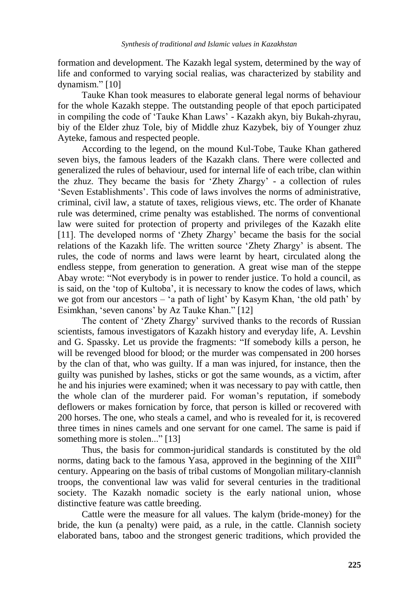formation and development. The Kazakh legal system, determined by the way of life and conformed to varying social realias, was characterized by stability and dynamism." [10]

Tauke Khan took measures to elaborate general legal norms of behaviour for the whole Kazakh steppe. The outstanding people of that epoch participated in compiling the code of "Tauke Khan Laws" - Kazakh akyn, biy Bukah-zhyrau, biy of the Elder zhuz Tole, biy of Middle zhuz Kazybek, biy of Younger zhuz Ayteke, famous and respected people.

According to the legend, on the mound Kul-Tobe, Tauke Khan gathered seven biys, the famous leaders of the Kazakh clans. There were collected and generalized the rules of behaviour, used for internal life of each tribe, clan within the zhuz. They became the basis for "Zhety Zhargy" - a collection of rules "Seven Establishments". This code of laws involves the norms of administrative, criminal, civil law, a statute of taxes, religious views, etc. The order of Khanate rule was determined, crime penalty was established. The norms of conventional law were suited for protection of property and privileges of the Kazakh elite [11]. The developed norms of 'Zhety Zhargy' became the basis for the social relations of the Kazakh life. The written source "Zhety Zhargy" is absent. The rules, the code of norms and laws were learnt by heart, circulated along the endless steppe, from generation to generation. A great wise man of the steppe Abay wrote: "Not everybody is in power to render justice. To hold a council, as is said, on the "top of Kultoba", it is necessary to know the codes of laws, which we got from our ancestors – 'a path of light' by Kasym Khan, 'the old path' by Esimkhan, 'seven canons' by Az Tauke Khan." [12]

The content of "Zhety Zhargy" survived thanks to the records of Russian scientists, famous investigators of Kazakh history and everyday life, A. Levshin and G. Spassky. Let us provide the fragments: "If somebody kills a person, he will be revenged blood for blood; or the murder was compensated in 200 horses by the clan of that, who was guilty. If a man was injured, for instance, then the guilty was punished by lashes, sticks or got the same wounds, as a victim, after he and his injuries were examined; when it was necessary to pay with cattle, then the whole clan of the murderer paid. For woman"s reputation, if somebody deflowers or makes fornication by force, that person is killed or recovered with 200 horses. The one, who steals a camel, and who is revealed for it, is recovered three times in nines camels and one servant for one camel. The same is paid if something more is stolen..." [13]

Thus, the basis for common-juridical standards is constituted by the old norms, dating back to the famous Yasa, approved in the beginning of the XIII<sup>th</sup> century. Appearing on the basis of tribal customs of Mongolian military-clannish troops, the conventional law was valid for several centuries in the traditional society. The Kazakh nomadic society is the early national union, whose distinctive feature was cattle breeding.

Cattle were the measure for all values. The kalym (bride-money) for the bride, the kun (a penalty) were paid, as a rule, in the cattle. Clannish society elaborated bans, taboo and the strongest generic traditions, which provided the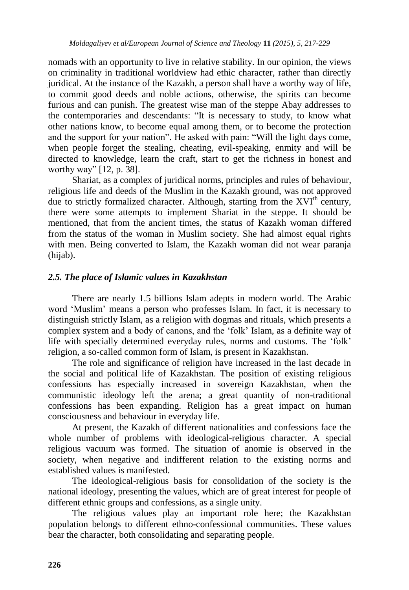nomads with an opportunity to live in relative stability. In our opinion, the views on criminality in traditional worldview had ethic character, rather than directly juridical. At the instance of the Kazakh, a person shall have a worthy way of life, to commit good deeds and noble actions, otherwise, the spirits can become furious and can punish. The greatest wise man of the steppe Abay addresses to the contemporaries and descendants: "It is necessary to study, to know what other nations know, to become equal among them, or to become the protection and the support for your nation". He asked with pain: "Will the light days come, when people forget the stealing, cheating, evil-speaking, enmity and will be directed to knowledge, learn the craft, start to get the richness in honest and worthy way" [12, p. 38].

Shariat, as a complex of juridical norms, principles and rules of behaviour, religious life and deeds of the Muslim in the Kazakh ground, was not approved due to strictly formalized character. Although, starting from the  $XVI<sup>th</sup>$  century, there were some attempts to implement Shariat in the steppe. It should be mentioned, that from the ancient times, the status of Kazakh woman differed from the status of the woman in Muslim society. She had almost equal rights with men. Being converted to Islam, the Kazakh woman did not wear paranja (hijab).

## *2.5. The place of Islamic values in Kazakhstan*

There are nearly 1.5 billions Islam adepts in modern world. The Arabic word "Muslim" means a person who professes Islam. In fact, it is necessary to distinguish strictly Islam, as a religion with dogmas and rituals, which presents a complex system and a body of canons, and the "folk" Islam, as a definite way of life with specially determined everyday rules, norms and customs. The "folk" religion, a so-called common form of Islam, is present in Kazakhstan.

The role and significance of religion have increased in the last decade in the social and political life of Kazakhstan. The position of existing religious confessions has especially increased in sovereign Kazakhstan, when the communistic ideology left the arena; a great quantity of non-traditional confessions has been expanding. Religion has a great impact on human consciousness and behaviour in everyday life.

At present, the Kazakh of different nationalities and confessions face the whole number of problems with ideological-religious character. A special religious vacuum was formed. The situation of anomie is observed in the society, when negative and indifferent relation to the existing norms and established values is manifested.

The ideological-religious basis for consolidation of the society is the national ideology, presenting the values, which are of great interest for people of different ethnic groups and confessions, as a single unity.

The religious values play an important role here; the Kazakhstan population belongs to different ethno-confessional communities. These values bear the character, both consolidating and separating people.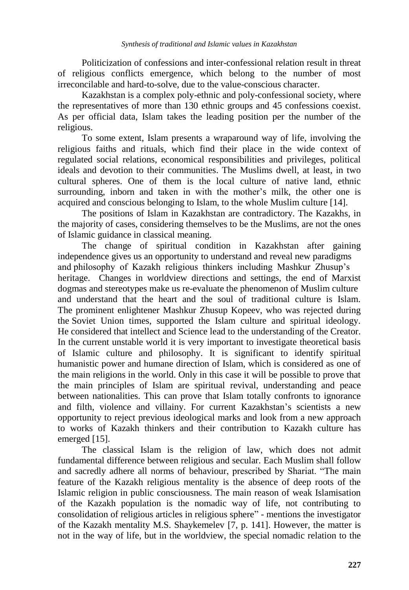Politicization of confessions and inter-confessional relation result in threat of religious conflicts emergence, which belong to the number of most irreconcilable and hard-to-solve, due to the value-conscious character.

Kazakhstan is a complex poly-ethnic and poly-confessional society, where the representatives of more than 130 ethnic groups and 45 confessions coexist. As per official data, Islam takes the leading position per the number of the religious.

To some extent, Islam presents a wraparound way of life, involving the religious faiths and rituals, which find their place in the wide context of regulated social relations, economical responsibilities and privileges, political ideals and devotion to their communities. The Muslims dwell, at least, in two cultural spheres. One of them is the local culture of native land, ethnic surrounding, inborn and taken in with the mother's milk, the other one is acquired and conscious belonging to Islam, to the whole Muslim culture [14].

The positions of Islam in Kazakhstan are contradictory. The Kazakhs, in the majority of cases, considering themselves to be the Muslims, are not the ones of Islamic guidance in classical meaning.

The change of spiritual condition in Kazakhstan after gaining independence gives us an opportunity to understand and reveal new paradigms and philosophy of Kazakh religious thinkers including Mashkur Zhusup"s heritage. Changes in worldview directions and settings, the end of Marxist dogmas and stereotypes make us re-evaluate the phenomenon of Muslim culture and understand that the heart and the soul of traditional culture is Islam. The prominent enlightener Mashkur Zhusup Kopeev, who was rejected during the Soviet Union times, supported the Islam culture and spiritual ideology. He considered that intellect and Science lead to the understanding of the Creator. In the current unstable world it is very important to investigate theoretical basis of Islamic culture and philosophy. It is significant to identify spiritual humanistic power and humane direction of Islam, which is considered as one of the main religions in the world. Only in this case it will be possible to prove that the main principles of Islam are spiritual revival, understanding and peace between nationalities. This can prove that Islam totally confronts to ignorance and filth, violence and villainy. For current Kazakhstan"s scientists a new opportunity to reject previous ideological marks and look from a new approach to works of Kazakh thinkers and their contribution to Kazakh culture has emerged [15].

The classical Islam is the religion of law, which does not admit fundamental difference between religious and secular. Each Muslim shall follow and sacredly adhere all norms of behaviour, prescribed by Shariat. "The main feature of the Kazakh religious mentality is the absence of deep roots of the Islamic religion in public consciousness. The main reason of weak Islamisation of the Kazakh population is the nomadic way of life, not contributing to consolidation of religious articles in religious sphere" - mentions the investigator of the Kazakh mentality M.S. Shaykemelev [7, p. 141]. However, the matter is not in the way of life, but in the worldview, the special nomadic relation to the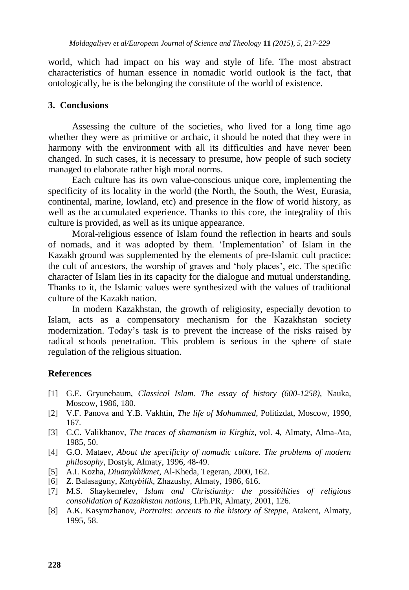world, which had impact on his way and style of life. The most abstract characteristics of human essence in nomadic world outlook is the fact, that ontologically, he is the belonging the constitute of the world of existence.

## **3. Conclusions**

Assessing the culture of the societies, who lived for a long time ago whether they were as primitive or archaic, it should be noted that they were in harmony with the environment with all its difficulties and have never been changed. In such cases, it is necessary to presume, how people of such society managed to elaborate rather high moral norms.

Each culture has its own value-conscious unique core, implementing the specificity of its locality in the world (the North, the South, the West, Eurasia, continental, marine, lowland, etc) and presence in the flow of world history, as well as the accumulated experience. Thanks to this core, the integrality of this culture is provided, as well as its unique appearance.

Moral-religious essence of Islam found the reflection in hearts and souls of nomads, and it was adopted by them. "Implementation" of Islam in the Kazakh ground was supplemented by the elements of pre-Islamic cult practice: the cult of ancestors, the worship of graves and "holy places", etc. The specific character of Islam lies in its capacity for the dialogue and mutual understanding. Thanks to it, the Islamic values were synthesized with the values of traditional culture of the Kazakh nation.

In modern Kazakhstan, the growth of religiosity, especially devotion to Islam, acts as a compensatory mechanism for the Kazakhstan society modernization. Today"s task is to prevent the increase of the risks raised by radical schools penetration. This problem is serious in the sphere of state regulation of the religious situation.

## **References**

- [1] G.E. Gryunebaum, *Classical Islam. The essay of history (600-1258)*, Nauka, Moscow, 1986, 180.
- [2] V.F. Panova and Y.B. Vakhtin, *The life of Mohammed*, Politizdat, Moscow, 1990, 167.
- [3] C.C. Valikhanov, *The traces of shamanism in Kirghiz*, vol. 4, Almaty, Alma-Ata, 1985, 50.
- [4] G.O. Mataev, *About the specificity of nomadic culture. The problems of modern philosophy*, Dostyk, Almaty, 1996, 48-49.
- [5] A.I. Kozha, *Diuanykhikmet*, Al-Kheda, Tegeran, 2000, 162.
- [6] Z. Balasaguny, *Kuttybilik*, Zhazushy, Almaty, 1986, 616.
- [7] M.S. Shaykemelev, *Islam and Christianity: the possibilities of religious consolidation of Kazakhstan nations*, I.Ph.PR, Almaty, 2001, 126.
- [8] A.K. Kasymzhanov, *Portraits: accents to the history of Steppe*, Atakent, Almaty, 1995, 58.